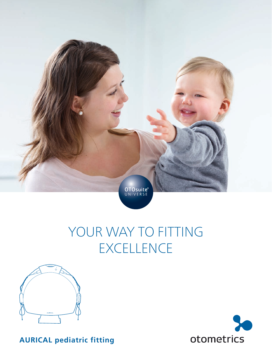

# YOUR WAY TO FITTING **EXCELLENCE**





**AURICAL pediatric fitting**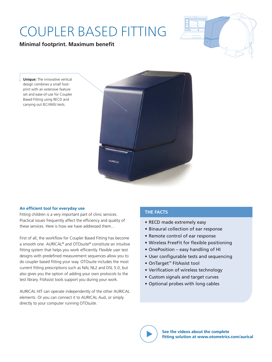## COUPLER BASED FITTING

### **Minimal footprint. Maximum benefit**



**Unique:** The innovative vertical design combines a small footprint with an extensive feature set and ease-of-use for Coupler Based Fitting using RECD and carrying out IEC/ANSI tests.



#### **An efficient tool for everyday use**

Fitting children is a very important part of clinic services. Practical issues frequently affect the efficiency and quality of these services. Here is how we have addressed them…

First of all, the workflow for Coupler Based Fitting has become a smooth one. AURICAL® and OTOsuite® constitute an intuitive fitting system that helps you work efficiently. Flexible user test designs with predefined measurement sequences allow you to do coupler based fitting your way. OTOsuite includes the most current fitting prescriptions such as NAL NL2 and DSL 5.0, but also gives you the option of adding your own protocols to the test library. FitAssist tools support you during your work.

AURICAL HIT can operate independently of the other AURICAL elements. Or you can connect it to AURICAL Aud, or simply directly to your computer running OTOsuite.

### **THE FACTS**

- RECD made extremely easy
- Binaural collection of ear response
- Remote control of ear response
- Wireless FreeFit for flexible positioning
- OnePosition easy handling of HI
- User configurable tests and sequencing
- OnTarget™ FitAssist tool
- Verification of wireless technology
- Custom signals and target curves
- Optional probes with long cables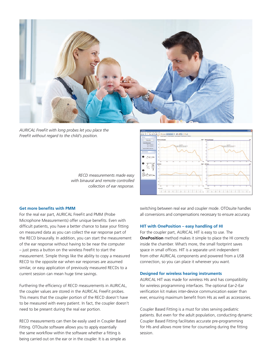

*AURICAL FreeFit with long probes let you place the FreeFit without regard to the child's position.*



*RECD measurements made easy with binaural and remote controlled collection of ear response.*

#### **Get more benefits with PMM**

For the real ear part, AURICAL FreeFit and PMM (Probe Microphone Measurements) offer unique benefits. Even with difficult patients, you have a better chance to base your fitting on measured data as you can collect the ear response part of the RECD binaurally. In addition, you can start the measurement of the ear response without having to be near the computer – just press a button on the wireless FreeFit to start the measurement. Simple things like the ability to copy a measured RECD to the opposite ear when ear responses are assumed similar, or easy application of previously measured RECDs to a current session can mean huge time savings.

Furthering the efficiency of RECD measurements in AURICAL, the coupler values are stored in the AURICAL FreeFit probes. This means that the coupler portion of the RECD doesn't have to be measured with every patient. In fact, the coupler doesn't need to be present during the real ear portion.

RECD measurements can then be easily used in Coupler Based Fitting. OTOsuite software allows you to apply essentially the same workflow within the software whether a fitting is being carried out on the ear or in the coupler. It is as simple as

switching between real ear and coupler mode. OTOsuite handles all conversions and compensations necessary to ensure accuracy.

#### **HIT with OnePosition – easy handling of HI**

For the coupler part, AURICAL HIT is easy to use. The **OnePosition** method makes it simple to place the HI correctly inside the chamber. What's more, the small footprint saves space in small offices. HIT is a separate unit independent from other AURICAL components and powered from a USB connection, so you can place it wherever you want.

#### **Designed for wireless hearing instruments**

AURICAL HIT was made for wireless HIs and has compatibility for wireless programming interfaces. The optional Ear-2-Ear verification kit makes inter-device communication easier than ever, ensuring maximum benefit from HIs as well as accessories.

Coupler Based Fitting is a must for sites serving pediatric patients. But even for the adult population, conducting dynamic Coupler Based Fitting facilitates accurate pre-programming for HIs and allows more time for counseling during the fitting session.